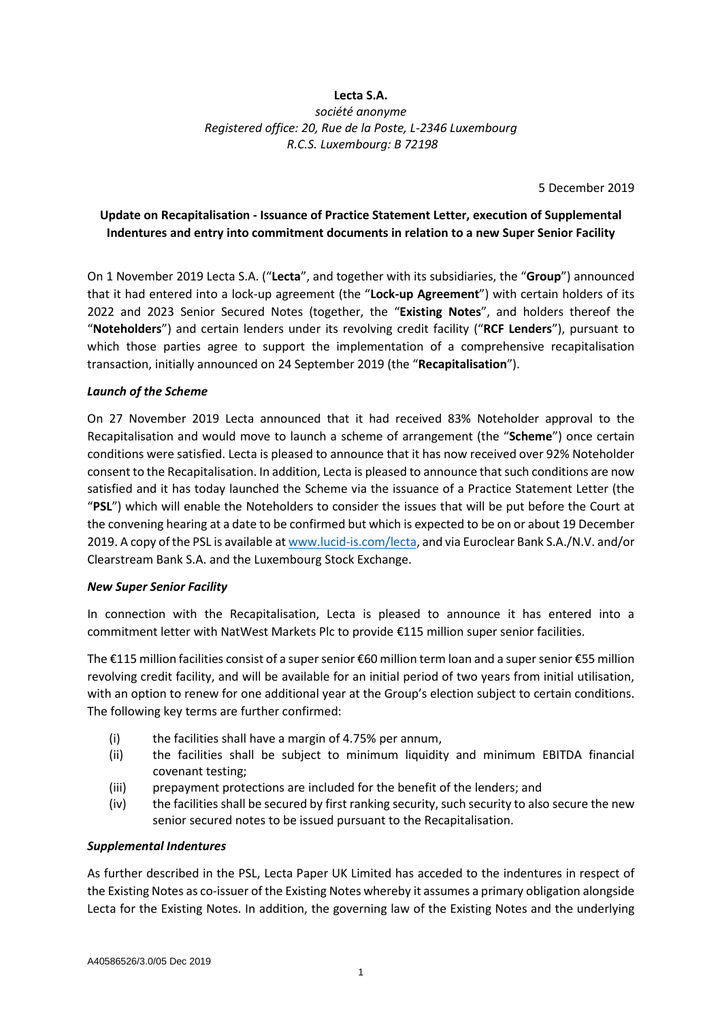## **Lecta S.A.**

*société anonyme Registered office: 20, Rue de la Poste, L-2346 Luxembourg R.C.S. Luxembourg: B 72198*

5 December 2019

# **Update on Recapitalisation - Issuance of Practice Statement Letter, execution of Supplemental Indentures and entry into commitment documents in relation to a new Super Senior Facility**

On 1 November 2019 Lecta S.A. ("**Lecta**", and together with its subsidiaries, the "**Group**") announced that it had entered into a lock-up agreement (the "**Lock-up Agreement**") with certain holders of its 2022 and 2023 Senior Secured Notes (together, the "**Existing Notes**", and holders thereof the "**Noteholders**") and certain lenders under its revolving credit facility ("**RCF Lenders**"), pursuant to which those parties agree to support the implementation of a comprehensive recapitalisation transaction, initially announced on 24 September 2019 (the "**Recapitalisation**").

#### *Launch of the Scheme*

On 27 November 2019 Lecta announced that it had received 83% Noteholder approval to the Recapitalisation and would move to launch a scheme of arrangement (the "**Scheme**") once certain conditions were satisfied. Lecta is pleased to announce that it has now received over 92% Noteholder consent to the Recapitalisation. In addition, Lecta is pleased to announce that such conditions are now satisfied and it has today launched the Scheme via the issuance of a Practice Statement Letter (the "**PSL**") which will enable the Noteholders to consider the issues that will be put before the Court at the convening hearing at a date to be confirmed but which is expected to be on or about 19 December 2019. A copy of the PSL is available a[t www.lucid-is.com/lecta,](https://urldefense.proofpoint.com/v2/url?u=http-3A__www.lucid-2Dis.com_lecta&d=DwMGaQ&c=PMBNytmjBbkRgFcdMTUT4Q&r=U8oHxvqverhjcnXtHZshqbwgVD04ZPQToMQyjJoAvCI&m=U2MqHIyZSXKSg97b89Th1UH5dM3zhDay72KSZfWuNTc&s=tUghH0EHXOStRIDC8jmSbHCVmg0BWzp8zBP-AaRBwUs&e=) and via Euroclear Bank S.A./N.V. and/or Clearstream Bank S.A. and the Luxembourg Stock Exchange.

#### *New Super Senior Facility*

In connection with the Recapitalisation, Lecta is pleased to announce it has entered into a commitment letter with NatWest Markets Plc to provide €115 million super senior facilities.

The €115 million facilities consist of a super senior €60 million term loan and a super senior €55 million revolving credit facility, and will be available for an initial period of two years from initial utilisation, with an option to renew for one additional year at the Group's election subject to certain conditions. The following key terms are further confirmed:

- (i) the facilities shall have a margin of 4.75% per annum,
- (ii) the facilities shall be subject to minimum liquidity and minimum EBITDA financial covenant testing;
- (iii) prepayment protections are included for the benefit of the lenders; and
- (iv) the facilities shall be secured by first ranking security, such security to also secure the new senior secured notes to be issued pursuant to the Recapitalisation.

#### *Supplemental Indentures*

As further described in the PSL, Lecta Paper UK Limited has acceded to the indentures in respect of the Existing Notes as co-issuer of the Existing Notes whereby it assumes a primary obligation alongside Lecta for the Existing Notes. In addition, the governing law of the Existing Notes and the underlying